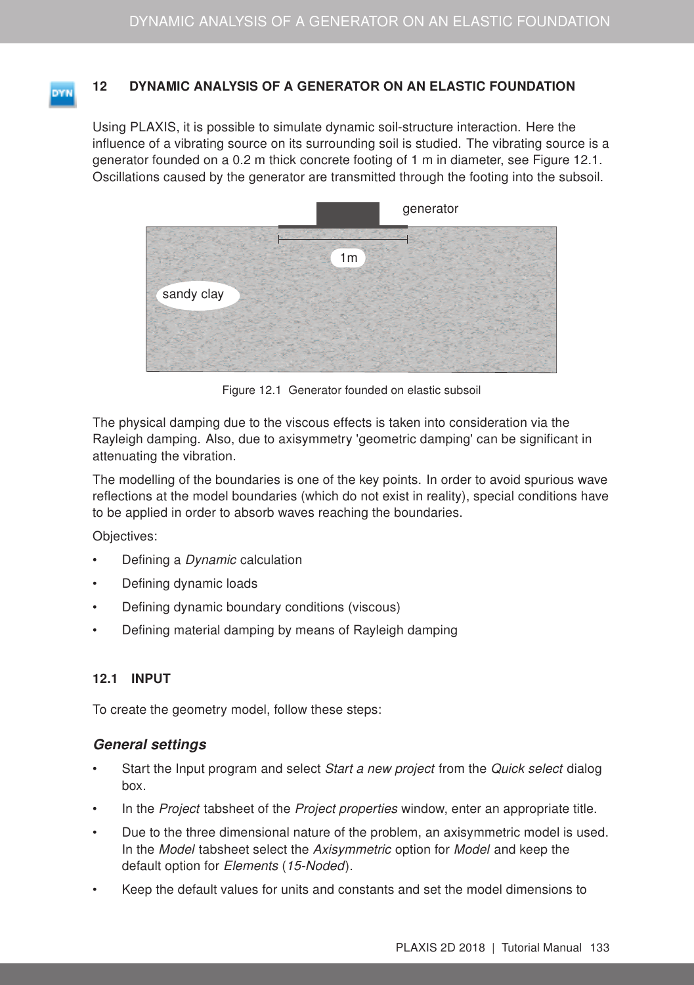## <span id="page-0-1"></span>12 DYNAMIC ANALYSIS OF A GENERATOR ON AN ELASTIC FOUNDATION

Using PLAXIS, it is possible to simulate dynamic soil-structure interaction. Here the influence of a vibrating source on its surrounding soil is studied. The vibrating source is a generator founded on a 0.2 m thick concrete footing of 1 m in diameter, see Figure [12.1.](#page-0-0) Oscillations caused by the generator are transmitted through the footing into the subsoil.



Figure 12.1 Generator founded on elastic subsoil

<span id="page-0-0"></span>The physical damping due to the viscous effects is taken into consideration via the Rayleigh damping. Also, due to axisymmetry 'geometric damping' can be significant in attenuating the vibration.

The modelling of the boundaries is one of the key points. In order to avoid spurious wave reflections at the model boundaries (which do not exist in reality), special conditions have to be applied in order to absorb waves reaching the boundaries.

Objectives:

- Defining a *Dynamic* calculation
- Defining dynamic loads
- Defining dynamic boundary conditions (viscous)
- Defining material damping by means of Rayleigh damping

### 12.1 INPUT

To create the geometry model, follow these steps:

### General settings

- Start the Input program and select Start a new project from the Quick select dialog box.
- In the *Project* tabsheet of the *Project properties* window, enter an appropriate title.
- Due to the three dimensional nature of the problem, an axisymmetric model is used. In the Model tabsheet select the Axisymmetric option for Model and keep the default option for Elements (15-Noded).
- Keep the default values for units and constants and set the model dimensions to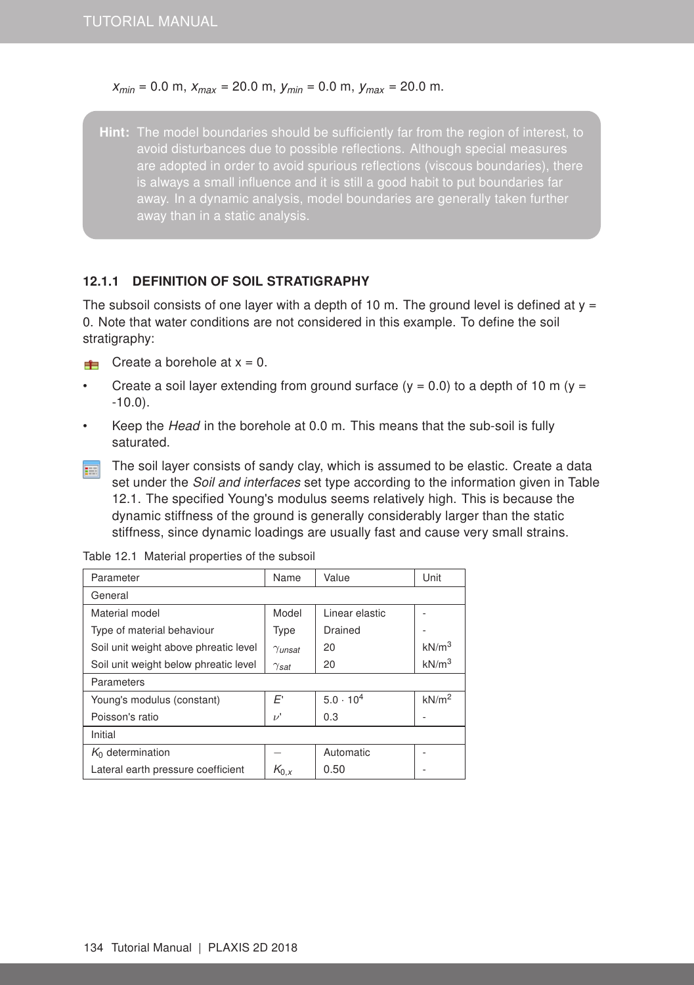#### *xmin* = 0.0 m, *xmax* = 20.0 m, *ymin* = 0.0 m, *ymax* = 20.0 m.

Hint: The model boundaries should be sufficiently far from the region of interest, to avoid disturbances due to possible reflections. Although special measures are adopted in order to avoid spurious reflections (viscous boundaries), there away. In a dynamic analysis, model boundaries are generally taken further

### 12.1.1 DEFINITION OF SOIL STRATIGRAPHY

The subsoil consists of one layer with a depth of 10 m. The ground level is defined at  $y =$ 0. Note that water conditions are not considered in this example. To define the soil stratigraphy:

For Create a borehole at  $x = 0$ .

- Create a soil layer extending from ground surface ( $y = 0.0$ ) to a depth of 10 m ( $y =$ -10.0).
- Keep the Head in the borehole at 0.0 m. This means that the sub-soil is fully saturated.
- The soil layer consists of sandy clay, which is assumed to be elastic. Create a data **FEE** set under the Soil and interfaces set type according to the information given in Table [12.1.](#page-1-0) The specified Young's modulus seems relatively high. This is because the dynamic stiffness of the ground is generally considerably larger than the static stiffness, since dynamic loadings are usually fast and cause very small strains.

| Parameter                             | Name           | Value              | Unit              |  |  |
|---------------------------------------|----------------|--------------------|-------------------|--|--|
| General                               |                |                    |                   |  |  |
| Material model                        | Model          | Linear elastic     |                   |  |  |
| Type of material behaviour            | Type           | Drained            |                   |  |  |
| Soil unit weight above phreatic level | $\gamma$ unsat | 20                 | kN/m <sup>3</sup> |  |  |
| Soil unit weight below phreatic level | $\gamma$ sat   | 20                 | kN/m <sup>3</sup> |  |  |
| Parameters                            |                |                    |                   |  |  |
| Young's modulus (constant)            | E'             | $5.0 \cdot 10^{4}$ | kN/m <sup>2</sup> |  |  |
| Poisson's ratio                       | $\nu'$         | 0.3                |                   |  |  |
| Initial                               |                |                    |                   |  |  |
| $K_0$ determination                   |                | Automatic          |                   |  |  |
| Lateral earth pressure coefficient    | $K_{0,x}$      | 0.50               |                   |  |  |

<span id="page-1-0"></span>Table 12.1 Material properties of the subsoil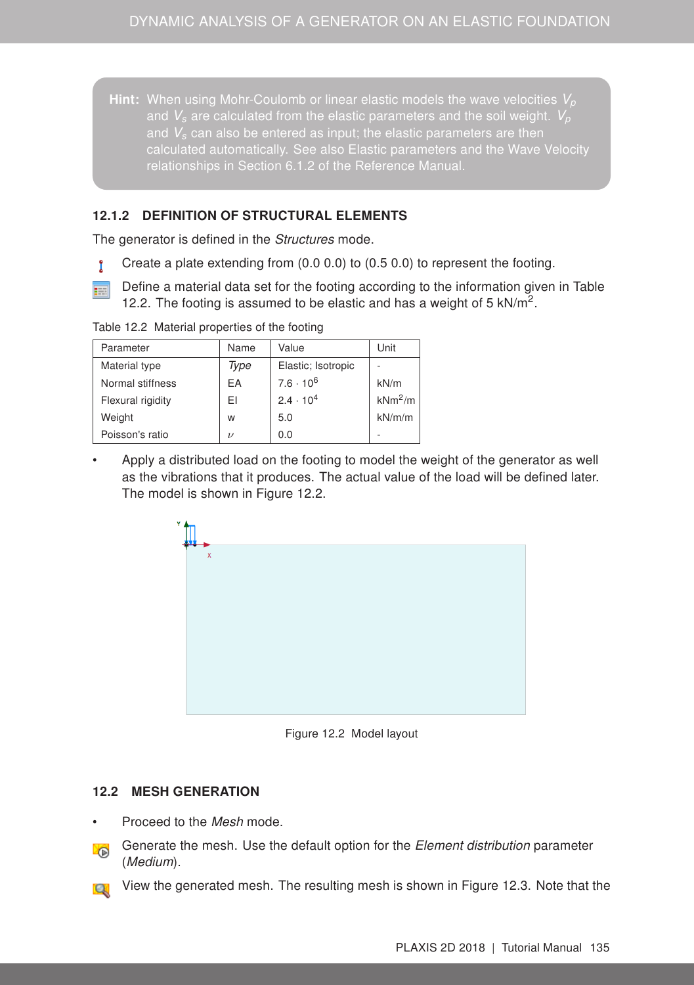Hint: When using Mohr-Coulomb or linear elastic models the wave velocities *V<sup>p</sup>* and  $V_s$  are calculated from the elastic parameters and the soil weight.  $V_p$ and *V<sup>s</sup>* can also be entered as input; the elastic parameters are then relationships in Section 6.1.2 of the [Reference Manual.](#page-0-1)

## 12.1.2 DEFINITION OF STRUCTURAL ELEMENTS

The generator is defined in the *Structures* mode.

- Create a plate extending from (0.0 0.0) to (0.5 0.0) to represent the footing. Ĩ
- Define a material data set for the footing according to the information given in Table 雨 [12.2.](#page-2-0) The footing is assumed to be elastic and has a weight of 5  $kN/m^2$ .

| Parameter         | Name          | Value              | Unit      |
|-------------------|---------------|--------------------|-----------|
| Material type     | Type          | Elastic; Isotropic |           |
| Normal stiffness  | EA            | $7.6 \cdot 10^6$   | kN/m      |
| Flexural rigidity | EΙ            | $2.4 \cdot 10^{4}$ | $kNm^2/m$ |
| Weight            | w             | 5.0                | kN/m/m    |
| Poisson's ratio   | $\mathcal{L}$ | 0.0                |           |

<span id="page-2-0"></span>Table 12.2 Material properties of the footing

• Apply a distributed load on the footing to model the weight of the generator as well as the vibrations that it produces. The actual value of the load will be defined later. The model is shown in Figure [12.2.](#page-2-1)



Figure 12.2 Model layout

### 12.2 MESH GENERATION

- <span id="page-2-1"></span>Proceed to the Mesh mode.
- Generate the mesh. Use the default option for the *Element distribution* parameter **Y** (Medium).
- View the generated mesh. The resulting mesh is shown in Figure [12.3.](#page-3-0) Note that the ĬΩ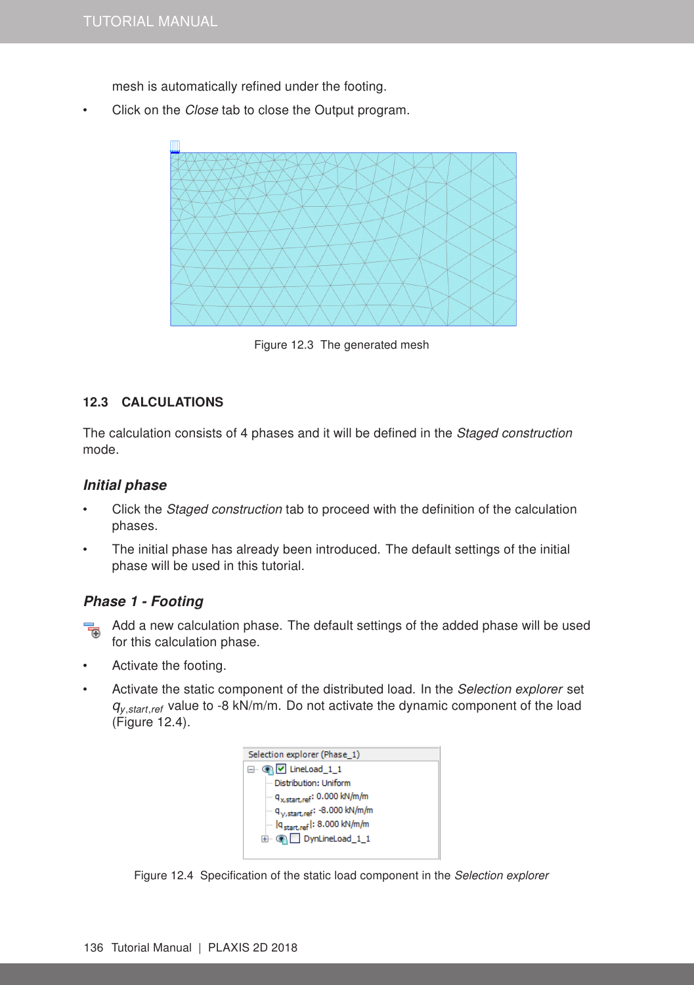mesh is automatically refined under the footing.

Click on the *Close* tab to close the Output program.



Figure 12.3 The generated mesh

## <span id="page-3-0"></span>12.3 CALCULATIONS

The calculation consists of 4 phases and it will be defined in the *Staged construction* mode.

#### Initial phase

- Click the Staged construction tab to proceed with the definition of the calculation phases.
- The initial phase has already been introduced. The default settings of the initial phase will be used in this tutorial.

### Phase 1 - Footing

- $\frac{1}{2}$  Add a new calculation phase. The default settings of the added phase will be used for this calculation phase.
- Activate the footing.
- Activate the static component of the distributed load. In the Selection explorer set *qy*,*start*,*ref* value to -8 kN/m/m. Do not activate the dynamic component of the load (Figure [12.4\)](#page-3-1).

<span id="page-3-1"></span>

Figure 12.4 Specification of the static load component in the Selection explorer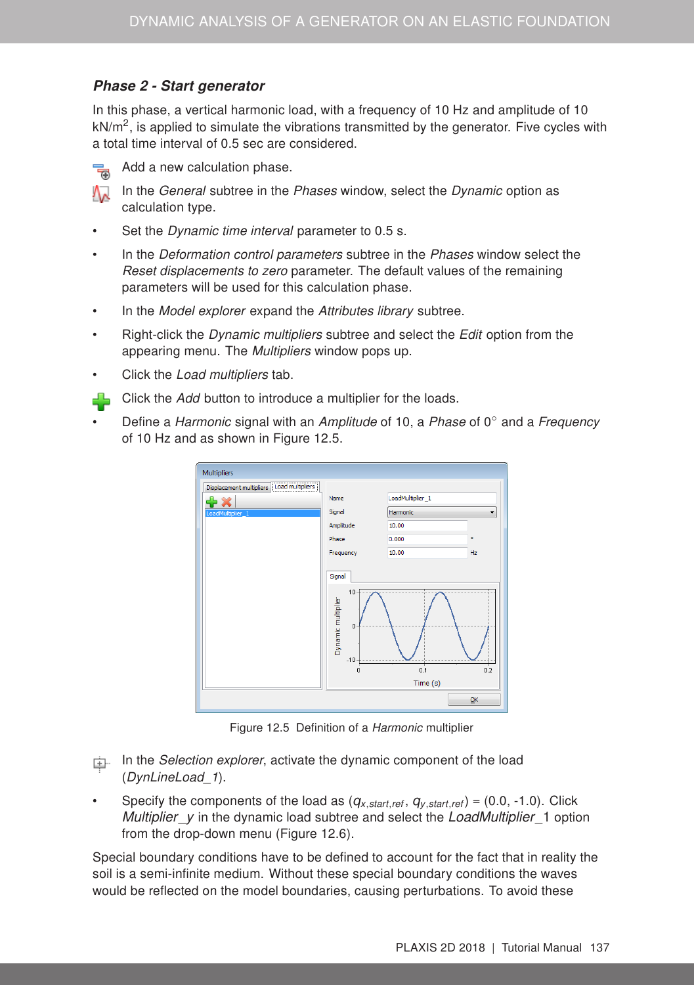# Phase 2 - Start generator

In this phase, a vertical harmonic load, with a frequency of 10 Hz and amplitude of 10  $kN/m^2$ , is applied to simulate the vibrations transmitted by the generator. Five cycles with a total time interval of 0.5 sec are considered.



Add a new calculation phase.

In the General subtree in the Phases window, select the Dynamic option as calculation type.

- Set the *Dynamic time interval* parameter to 0.5 s.
- In the Deformation control parameters subtree in the Phases window select the Reset displacements to zero parameter. The default values of the remaining parameters will be used for this calculation phase.
- In the Model explorer expand the Attributes library subtree.
- Right-click the *Dynamic multipliers* subtree and select the *Edit* option from the appearing menu. The Multipliers window pops up.
- Click the Load multipliers tab.
- Click the Add button to introduce a multiplier for the loads. 45
- Define a Harmonic signal with an Amplitude of 10, a Phase of  $0°$  and a Frequency of 10 Hz and as shown in Figure [12.5.](#page-4-0)



<span id="page-4-0"></span>Figure 12.5 Definition of a Harmonic multiplier

- $\Box$  In the Selection explorer, activate the dynamic component of the load (DynLineLoad\_1).
- Specify the components of the load as (*qx*,*start*,*ref* , *qy*,*start*,*ref*) = (0.0, -1.0). Click *Multiplier*\_*y* in the dynamic load subtree and select the *LoadMultiplier*\_1 option from the drop-down menu (Figure [12.6\)](#page-5-0).

Special boundary conditions have to be defined to account for the fact that in reality the soil is a semi-infinite medium. Without these special boundary conditions the waves would be reflected on the model boundaries, causing perturbations. To avoid these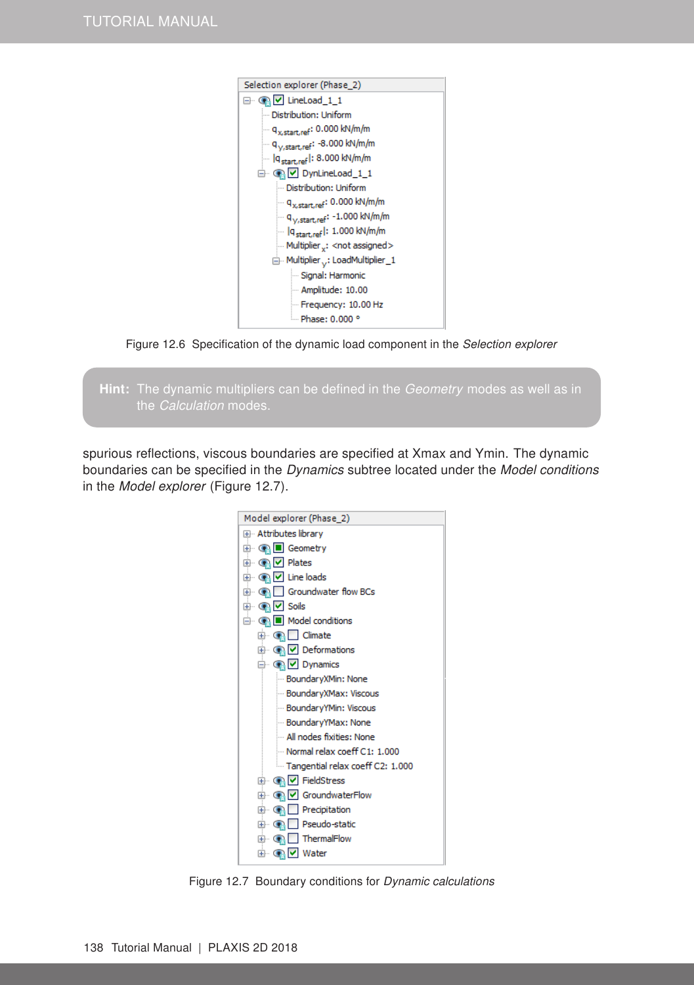

Figure 12.6 Specification of the dynamic load component in the Selection explorer

<span id="page-5-0"></span>

spurious reflections, viscous boundaries are specified at Xmax and Ymin. The dynamic boundaries can be specified in the Dynamics subtree located under the Model conditions in the Model explorer (Figure [12.7\)](#page-5-1).



<span id="page-5-1"></span>Figure 12.7 Boundary conditions for Dynamic calculations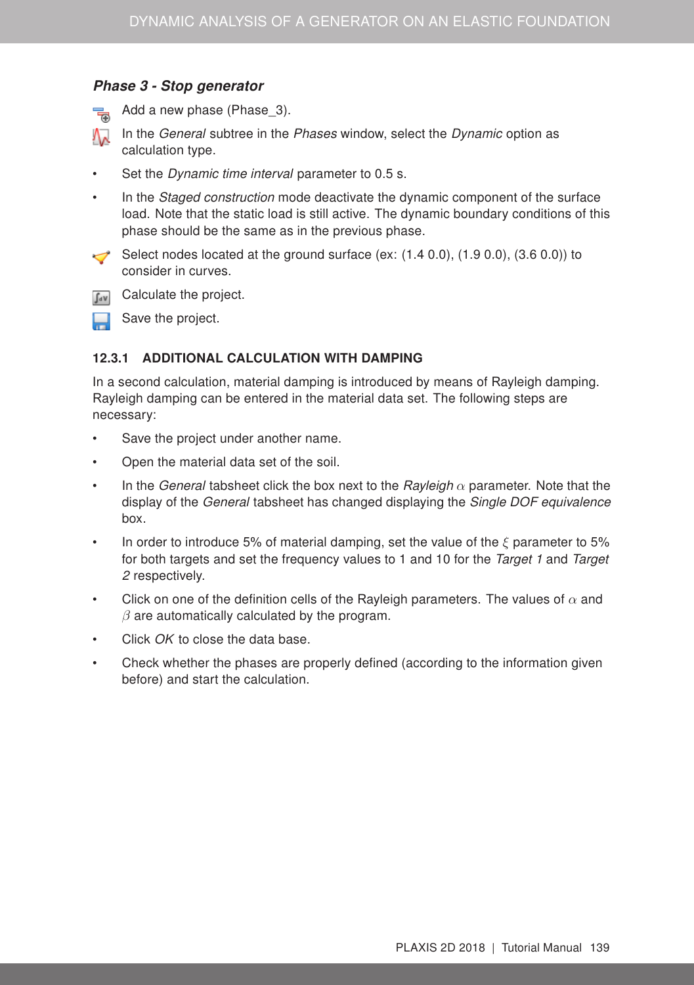# Phase 3 - Stop generator



Add a new phase (Phase 3).

In the General subtree in the Phases window, select the Dynamic option as calculation type.

Set the *Dynamic time interval* parameter to 0.5 s.

In the Staged construction mode deactivate the dynamic component of the surface load. Note that the static load is still active. The dynamic boundary conditions of this phase should be the same as in the previous phase.

Select nodes located at the ground surface (ex:  $(1.4 0.0)$ ,  $(1.9 0.0)$ ,  $(3.6 0.0)$ ) to consider in curves.





Save the project.

## 12.3.1 ADDITIONAL CALCULATION WITH DAMPING

In a second calculation, material damping is introduced by means of Rayleigh damping. Rayleigh damping can be entered in the material data set. The following steps are necessary:

- Save the project under another name.
- Open the material data set of the soil.
- In the General tabsheet click the box next to the Rayleigh  $\alpha$  parameter. Note that the display of the *General* tabsheet has changed displaying the *Single DOF equivalence* box.
- In order to introduce 5% of material damping, set the value of the  $\xi$  parameter to 5% for both targets and set the frequency values to 1 and 10 for the Target 1 and Target 2 respectively.
- Click on one of the definition cells of the Rayleigh parameters. The values of  $\alpha$  and  $\beta$  are automatically calculated by the program.
- Click OK to close the data base.
- Check whether the phases are properly defined (according to the information given before) and start the calculation.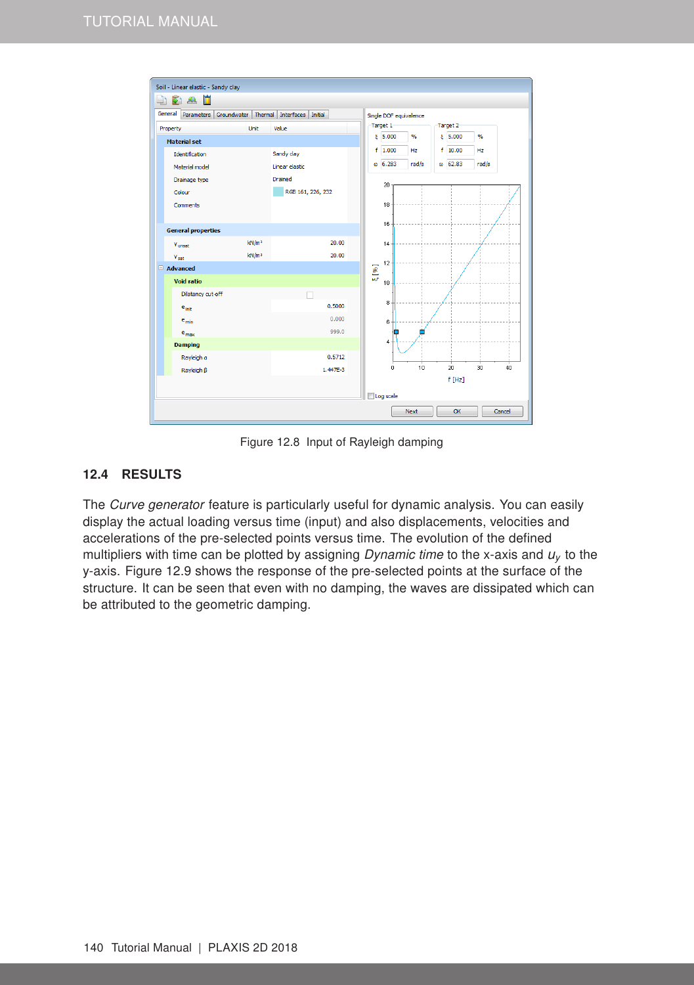

Figure 12.8 Input of Rayleigh damping

# 12.4 RESULTS

The Curve generator feature is particularly useful for dynamic analysis. You can easily display the actual loading versus time (input) and also displacements, velocities and accelerations of the pre-selected points versus time. The evolution of the defined multipliers with time can be plotted by assigning Dynamic time to the x-axis and *u<sup>y</sup>* to the y-axis. Figure [12.9](#page-8-0) shows the response of the pre-selected points at the surface of the structure. It can be seen that even with no damping, the waves are dissipated which can be attributed to the geometric damping.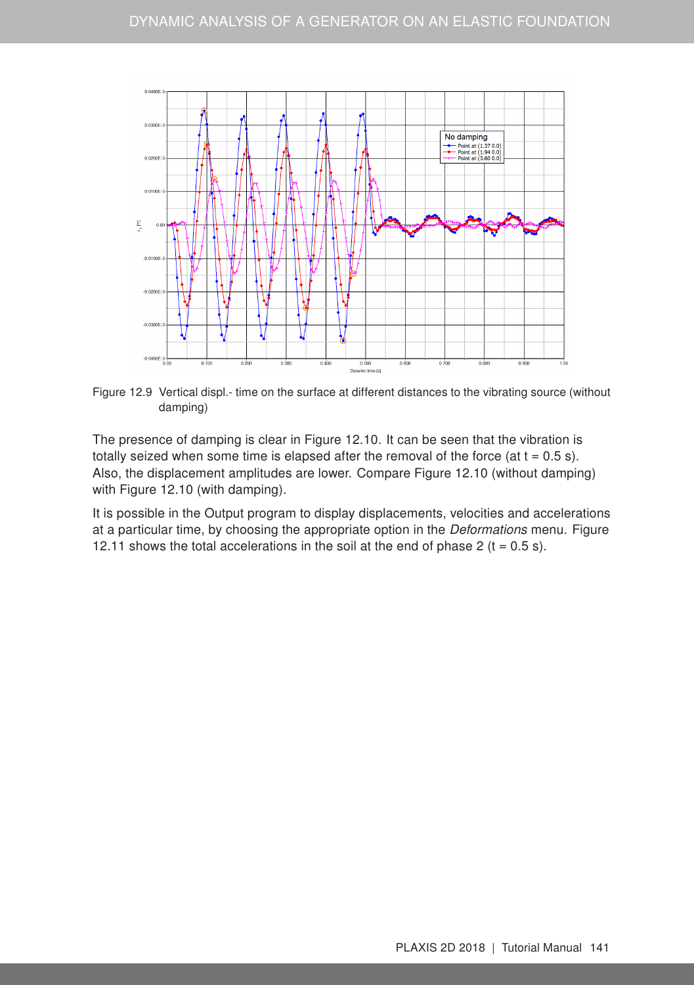

<span id="page-8-0"></span>Figure 12.9 Vertical displ.- time on the surface at different distances to the vibrating source (without damping)

The presence of damping is clear in Figure [12.10.](#page-9-0) It can be seen that the vibration is totally seized when some time is elapsed after the removal of the force (at  $t = 0.5$  s). Also, the displacement amplitudes are lower. Compare Figure [12.10](#page-9-0) (without damping) with Figure [12.10](#page-9-0) (with damping).

It is possible in the Output program to display displacements, velocities and accelerations at a particular time, by choosing the appropriate option in the Deformations menu. Figure [12.11](#page-9-1) shows the total accelerations in the soil at the end of phase 2 ( $t = 0.5$  s).